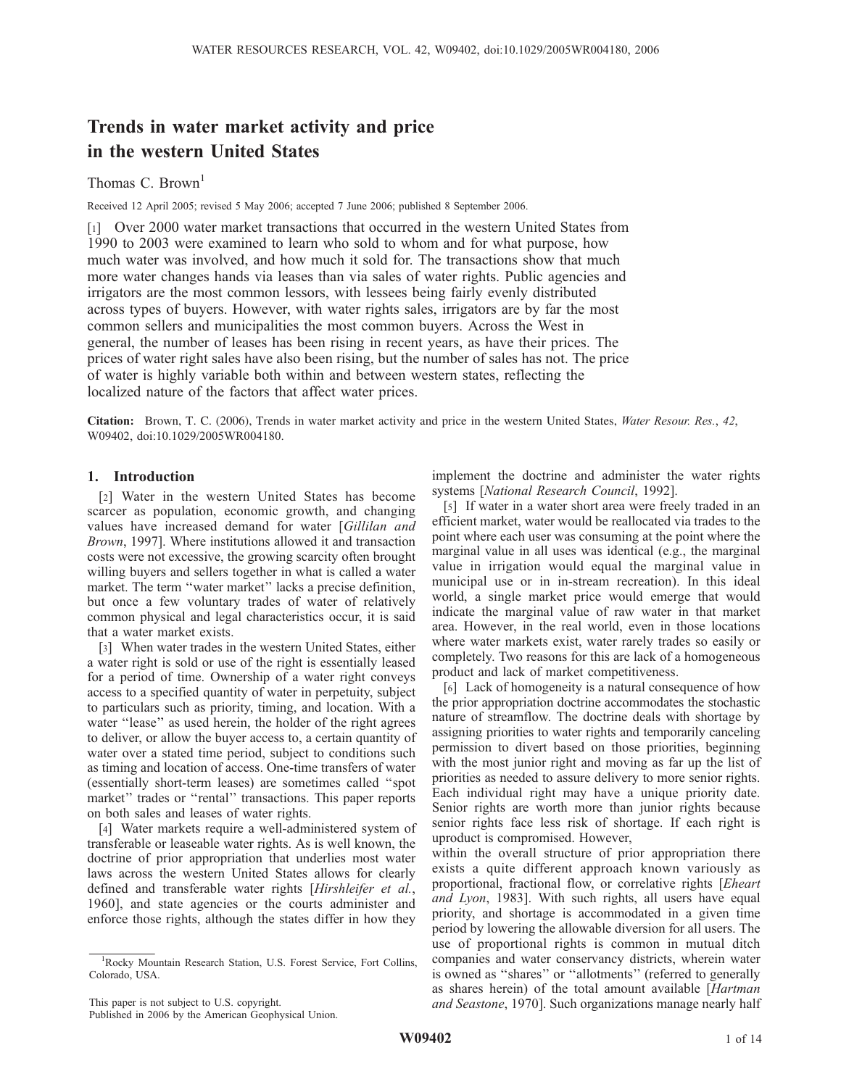# Trends in water market activity and price in the western United States

# Thomas C. Brown<sup>1</sup>

Received 12 April 2005; revised 5 May 2006; accepted 7 June 2006; published 8 September 2006.

[1] Over 2000 water market transactions that occurred in the western United States from 1990 to 2003 were examined to learn who sold to whom and for what purpose, how much water was involved, and how much it sold for. The transactions show that much more water changes hands via leases than via sales of water rights. Public agencies and irrigators are the most common lessors, with lessees being fairly evenly distributed across types of buyers. However, with water rights sales, irrigators are by far the most common sellers and municipalities the most common buyers. Across the West in general, the number of leases has been rising in recent years, as have their prices. The prices of water right sales have also been rising, but the number of sales has not. The price of water is highly variable both within and between western states, reflecting the localized nature of the factors that affect water prices.

Citation: Brown, T. C. (2006), Trends in water market activity and price in the western United States, Water Resour. Res., 42, W09402, doi:10.1029/2005WR004180.

## 1. Introduction

[2] Water in the western United States has become scarcer as population, economic growth, and changing values have increased demand for water [Gillilan and Brown, 1997]. Where institutions allowed it and transaction costs were not excessive, the growing scarcity often brought willing buyers and sellers together in what is called a water market. The term ''water market'' lacks a precise definition, but once a few voluntary trades of water of relatively common physical and legal characteristics occur, it is said that a water market exists.

[3] When water trades in the western United States, either a water right is sold or use of the right is essentially leased for a period of time. Ownership of a water right conveys access to a specified quantity of water in perpetuity, subject to particulars such as priority, timing, and location. With a water "lease" as used herein, the holder of the right agrees to deliver, or allow the buyer access to, a certain quantity of water over a stated time period, subject to conditions such as timing and location of access. One-time transfers of water (essentially short-term leases) are sometimes called ''spot market" trades or "rental" transactions. This paper reports on both sales and leases of water rights.

[4] Water markets require a well-administered system of transferable or leaseable water rights. As is well known, the doctrine of prior appropriation that underlies most water laws across the western United States allows for clearly defined and transferable water rights [Hirshleifer et al., 1960], and state agencies or the courts administer and enforce those rights, although the states differ in how they

This paper is not subject to U.S. copyright.

Published in 2006 by the American Geophysical Union.

implement the doctrine and administer the water rights systems [National Research Council, 1992].

[5] If water in a water short area were freely traded in an efficient market, water would be reallocated via trades to the point where each user was consuming at the point where the marginal value in all uses was identical (e.g., the marginal value in irrigation would equal the marginal value in municipal use or in in-stream recreation). In this ideal world, a single market price would emerge that would indicate the marginal value of raw water in that market area. However, in the real world, even in those locations where water markets exist, water rarely trades so easily or completely. Two reasons for this are lack of a homogeneous product and lack of market competitiveness.

[6] Lack of homogeneity is a natural consequence of how the prior appropriation doctrine accommodates the stochastic nature of streamflow. The doctrine deals with shortage by assigning priorities to water rights and temporarily canceling permission to divert based on those priorities, beginning with the most junior right and moving as far up the list of priorities as needed to assure delivery to more senior rights. Each individual right may have a unique priority date. Senior rights are worth more than junior rights because senior rights face less risk of shortage. If each right is uproduct is compromised. However,

within the overall structure of prior appropriation there exists a quite different approach known variously as proportional, fractional flow, or correlative rights [Eheart and Lyon, 1983]. With such rights, all users have equal priority, and shortage is accommodated in a given time period by lowering the allowable diversion for all users. The use of proportional rights is common in mutual ditch companies and water conservancy districts, wherein water is owned as ''shares'' or ''allotments'' (referred to generally as shares herein) of the total amount available [Hartman and Seastone, 1970]. Such organizations manage nearly half

<sup>&</sup>lt;sup>1</sup>Rocky Mountain Research Station, U.S. Forest Service, Fort Collins, Colorado, USA.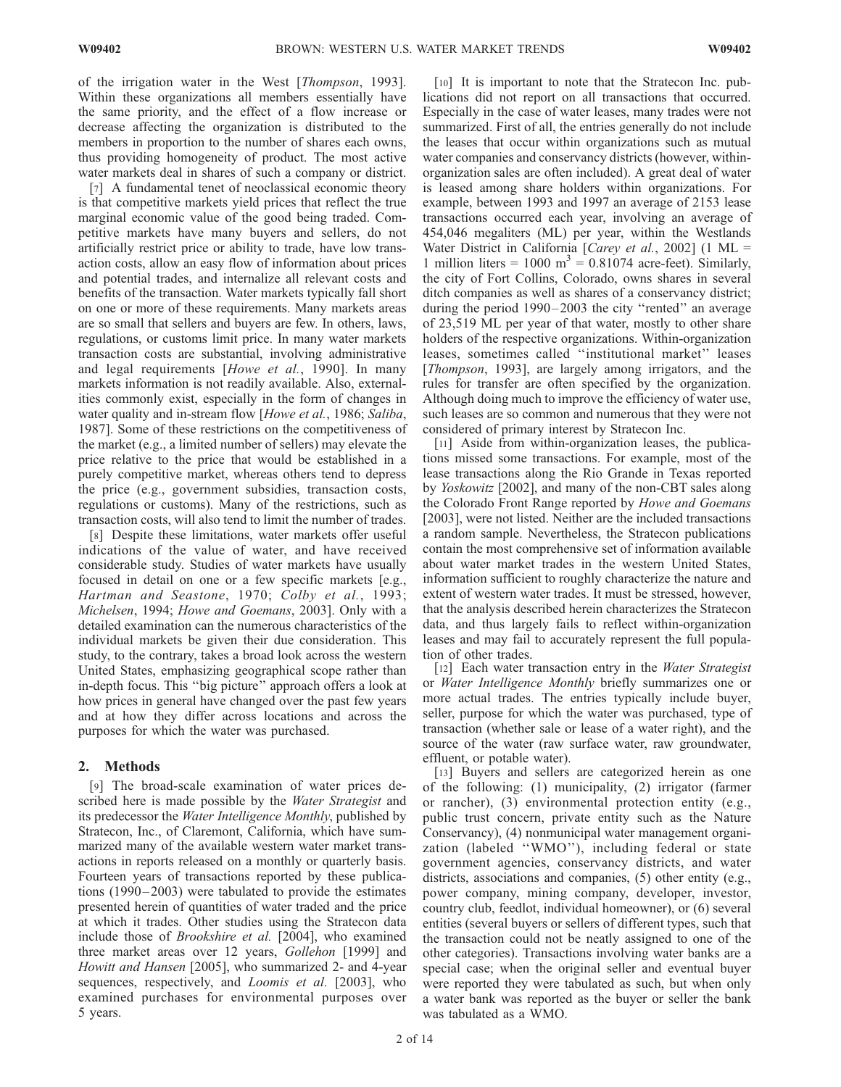of the irrigation water in the West [Thompson, 1993]. Within these organizations all members essentially have the same priority, and the effect of a flow increase or decrease affecting the organization is distributed to the members in proportion to the number of shares each owns, thus providing homogeneity of product. The most active water markets deal in shares of such a company or district.

[7] A fundamental tenet of neoclassical economic theory is that competitive markets yield prices that reflect the true marginal economic value of the good being traded. Competitive markets have many buyers and sellers, do not artificially restrict price or ability to trade, have low transaction costs, allow an easy flow of information about prices and potential trades, and internalize all relevant costs and benefits of the transaction. Water markets typically fall short on one or more of these requirements. Many markets areas are so small that sellers and buyers are few. In others, laws, regulations, or customs limit price. In many water markets transaction costs are substantial, involving administrative and legal requirements [Howe et al., 1990]. In many markets information is not readily available. Also, externalities commonly exist, especially in the form of changes in water quality and in-stream flow [Howe et al., 1986; Saliba, 1987]. Some of these restrictions on the competitiveness of the market (e.g., a limited number of sellers) may elevate the price relative to the price that would be established in a purely competitive market, whereas others tend to depress the price (e.g., government subsidies, transaction costs, regulations or customs). Many of the restrictions, such as transaction costs, will also tend to limit the number of trades.

[8] Despite these limitations, water markets offer useful indications of the value of water, and have received considerable study. Studies of water markets have usually focused in detail on one or a few specific markets [e.g., Hartman and Seastone, 1970; Colby et al., 1993; Michelsen, 1994; Howe and Goemans, 2003]. Only with a detailed examination can the numerous characteristics of the individual markets be given their due consideration. This study, to the contrary, takes a broad look across the western United States, emphasizing geographical scope rather than in-depth focus. This ''big picture'' approach offers a look at how prices in general have changed over the past few years and at how they differ across locations and across the purposes for which the water was purchased.

## 2. Methods

[9] The broad-scale examination of water prices described here is made possible by the Water Strategist and its predecessor the Water Intelligence Monthly, published by Stratecon, Inc., of Claremont, California, which have summarized many of the available western water market transactions in reports released on a monthly or quarterly basis. Fourteen years of transactions reported by these publications (1990– 2003) were tabulated to provide the estimates presented herein of quantities of water traded and the price at which it trades. Other studies using the Stratecon data include those of Brookshire et al. [2004], who examined three market areas over 12 years, Gollehon [1999] and Howitt and Hansen [2005], who summarized 2- and 4-year sequences, respectively, and *Loomis et al.* [2003], who examined purchases for environmental purposes over 5 years.

[10] It is important to note that the Stratecon Inc. publications did not report on all transactions that occurred. Especially in the case of water leases, many trades were not summarized. First of all, the entries generally do not include the leases that occur within organizations such as mutual water companies and conservancy districts (however, withinorganization sales are often included). A great deal of water is leased among share holders within organizations. For example, between 1993 and 1997 an average of 2153 lease transactions occurred each year, involving an average of 454,046 megaliters (ML) per year, within the Westlands Water District in California [Carey et al., 2002] (1 ML = 1 million liters =  $1000 \text{ m}^3$  = 0.81074 acre-feet). Similarly, the city of Fort Collins, Colorado, owns shares in several ditch companies as well as shares of a conservancy district; during the period 1990–2003 the city "rented" an average of 23,519 ML per year of that water, mostly to other share holders of the respective organizations. Within-organization leases, sometimes called ''institutional market'' leases [*Thompson*, 1993], are largely among irrigators, and the rules for transfer are often specified by the organization. Although doing much to improve the efficiency of water use, such leases are so common and numerous that they were not considered of primary interest by Stratecon Inc.

[11] Aside from within-organization leases, the publications missed some transactions. For example, most of the lease transactions along the Rio Grande in Texas reported by Yoskowitz [2002], and many of the non-CBT sales along the Colorado Front Range reported by Howe and Goemans [2003], were not listed. Neither are the included transactions a random sample. Nevertheless, the Stratecon publications contain the most comprehensive set of information available about water market trades in the western United States, information sufficient to roughly characterize the nature and extent of western water trades. It must be stressed, however, that the analysis described herein characterizes the Stratecon data, and thus largely fails to reflect within-organization leases and may fail to accurately represent the full population of other trades.

[12] Each water transaction entry in the Water Strategist or Water Intelligence Monthly briefly summarizes one or more actual trades. The entries typically include buyer, seller, purpose for which the water was purchased, type of transaction (whether sale or lease of a water right), and the source of the water (raw surface water, raw groundwater, effluent, or potable water).

[13] Buyers and sellers are categorized herein as one of the following: (1) municipality, (2) irrigator (farmer or rancher), (3) environmental protection entity (e.g., public trust concern, private entity such as the Nature Conservancy), (4) nonmunicipal water management organization (labeled ''WMO''), including federal or state government agencies, conservancy districts, and water districts, associations and companies, (5) other entity (e.g., power company, mining company, developer, investor, country club, feedlot, individual homeowner), or (6) several entities (several buyers or sellers of different types, such that the transaction could not be neatly assigned to one of the other categories). Transactions involving water banks are a special case; when the original seller and eventual buyer were reported they were tabulated as such, but when only a water bank was reported as the buyer or seller the bank was tabulated as a WMO.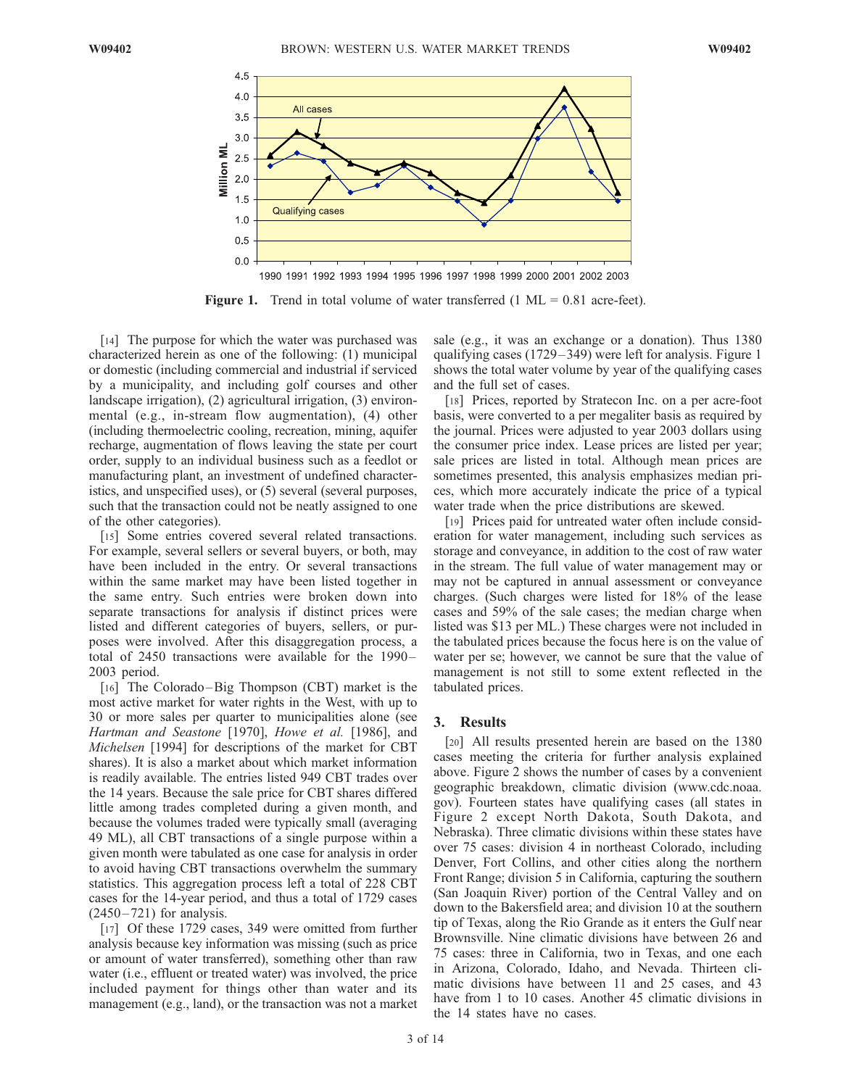

**Figure 1.** Trend in total volume of water transferred  $(1 \text{ ML} = 0.81 \text{ acre}$ -feet).

[14] The purpose for which the water was purchased was characterized herein as one of the following: (1) municipal or domestic (including commercial and industrial if serviced by a municipality, and including golf courses and other landscape irrigation), (2) agricultural irrigation, (3) environmental (e.g., in-stream flow augmentation), (4) other (including thermoelectric cooling, recreation, mining, aquifer recharge, augmentation of flows leaving the state per court order, supply to an individual business such as a feedlot or manufacturing plant, an investment of undefined characteristics, and unspecified uses), or (5) several (several purposes, such that the transaction could not be neatly assigned to one of the other categories).

[15] Some entries covered several related transactions. For example, several sellers or several buyers, or both, may have been included in the entry. Or several transactions within the same market may have been listed together in the same entry. Such entries were broken down into separate transactions for analysis if distinct prices were listed and different categories of buyers, sellers, or purposes were involved. After this disaggregation process, a total of 2450 transactions were available for the 1990-2003 period.

[16] The Colorado-Big Thompson (CBT) market is the most active market for water rights in the West, with up to 30 or more sales per quarter to municipalities alone (see Hartman and Seastone [1970], Howe et al. [1986], and Michelsen [1994] for descriptions of the market for CBT shares). It is also a market about which market information is readily available. The entries listed 949 CBT trades over the 14 years. Because the sale price for CBT shares differed little among trades completed during a given month, and because the volumes traded were typically small (averaging 49 ML), all CBT transactions of a single purpose within a given month were tabulated as one case for analysis in order to avoid having CBT transactions overwhelm the summary statistics. This aggregation process left a total of 228 CBT cases for the 14-year period, and thus a total of 1729 cases  $(2450 - 721)$  for analysis.

[17] Of these 1729 cases, 349 were omitted from further analysis because key information was missing (such as price or amount of water transferred), something other than raw water (i.e., effluent or treated water) was involved, the price included payment for things other than water and its management (e.g., land), or the transaction was not a market

sale (e.g., it was an exchange or a donation). Thus 1380 qualifying cases (1729– 349) were left for analysis. Figure 1 shows the total water volume by year of the qualifying cases and the full set of cases.

[18] Prices, reported by Stratecon Inc. on a per acre-foot basis, were converted to a per megaliter basis as required by the journal. Prices were adjusted to year 2003 dollars using the consumer price index. Lease prices are listed per year; sale prices are listed in total. Although mean prices are sometimes presented, this analysis emphasizes median prices, which more accurately indicate the price of a typical water trade when the price distributions are skewed.

[19] Prices paid for untreated water often include consideration for water management, including such services as storage and conveyance, in addition to the cost of raw water in the stream. The full value of water management may or may not be captured in annual assessment or conveyance charges. (Such charges were listed for 18% of the lease cases and 59% of the sale cases; the median charge when listed was \$13 per ML.) These charges were not included in the tabulated prices because the focus here is on the value of water per se; however, we cannot be sure that the value of management is not still to some extent reflected in the tabulated prices.

## 3. Results

[20] All results presented herein are based on the 1380 cases meeting the criteria for further analysis explained above. Figure 2 shows the number of cases by a convenient geographic breakdown, climatic division (www.cdc.noaa. gov). Fourteen states have qualifying cases (all states in Figure 2 except North Dakota, South Dakota, and Nebraska). Three climatic divisions within these states have over 75 cases: division 4 in northeast Colorado, including Denver, Fort Collins, and other cities along the northern Front Range; division 5 in California, capturing the southern (San Joaquin River) portion of the Central Valley and on down to the Bakersfield area; and division 10 at the southern tip of Texas, along the Rio Grande as it enters the Gulf near Brownsville. Nine climatic divisions have between 26 and 75 cases: three in California, two in Texas, and one each in Arizona, Colorado, Idaho, and Nevada. Thirteen climatic divisions have between 11 and 25 cases, and 43 have from 1 to 10 cases. Another 45 climatic divisions in the 14 states have no cases.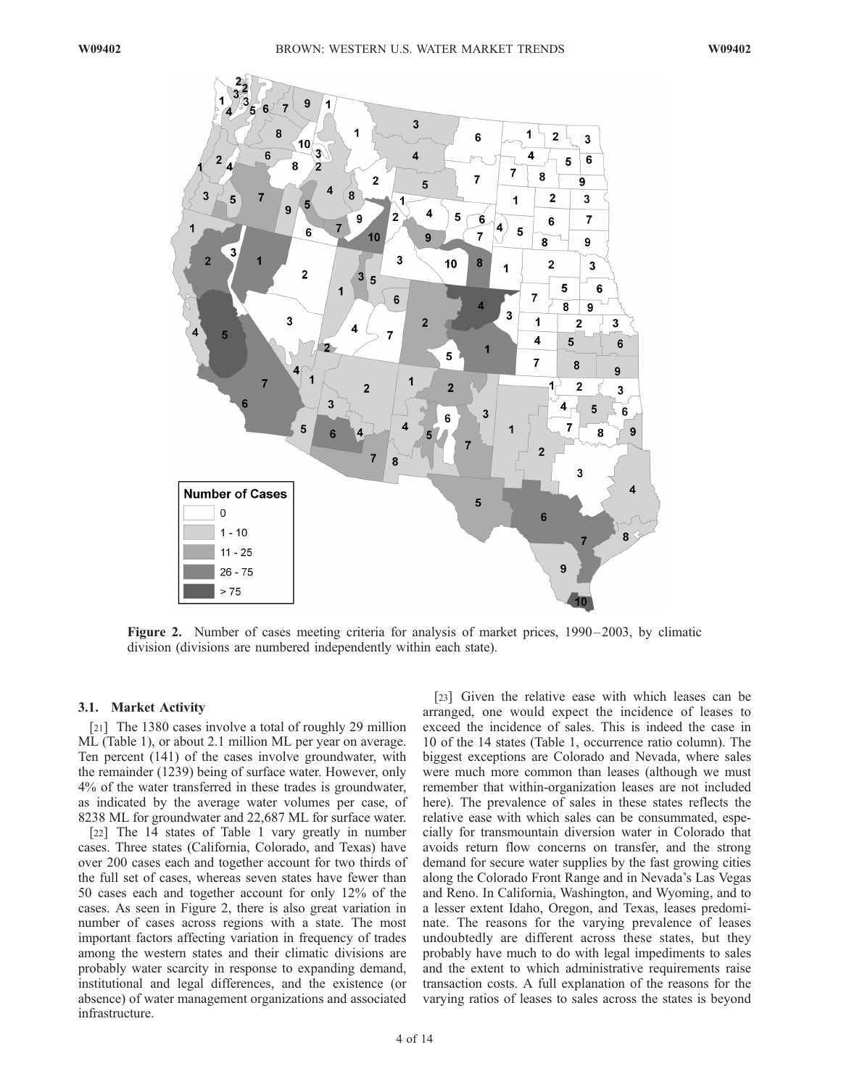

Figure 2. Number of cases meeting criteria for analysis of market prices, 1990–2003, by climatic division (divisions are numbered independently within each state).

## 3.1. Market Activity

[21] The 1380 cases involve a total of roughly 29 million ML (Table 1), or about 2.1 million ML per year on average. Ten percent (141) of the cases involve groundwater, with the remainder (1239) being of surface water. However, only 4% of the water transferred in these trades is groundwater, as indicated by the average water volumes per case, of 8238 ML for groundwater and 22,687 ML for surface water.

[22] The 14 states of Table 1 vary greatly in number cases. Three states (California, Colorado, and Texas) have over 200 cases each and together account for two thirds of the full set of cases, whereas seven states have fewer than 50 cases each and together account for only 12% of the cases. As seen in Figure 2, there is also great variation in number of cases across regions with a state. The most important factors affecting variation in frequency of trades among the western states and their climatic divisions are probably water scarcity in response to expanding demand, institutional and legal differences, and the existence (or absence) of water management organizations and associated infrastructure.

[23] Given the relative ease with which leases can be arranged, one would expect the incidence of leases to exceed the incidence of sales. This is indeed the case in 10 of the 14 states (Table 1, occurrence ratio column). The biggest exceptions are Colorado and Nevada, where sales were much more common than leases (although we must remember that within-organization leases are not included here). The prevalence of sales in these states reflects the relative ease with which sales can be consummated, especially for transmountain diversion water in Colorado that avoids return flow concerns on transfer, and the strong demand for secure water supplies by the fast growing cities along the Colorado Front Range and in Nevada's Las Vegas and Reno. In California, Washington, and Wyoming, and to a lesser extent Idaho, Oregon, and Texas, leases predominate. The reasons for the varying prevalence of leases undoubtedly are different across these states, but they probably have much to do with legal impediments to sales and the extent to which administrative requirements raise transaction costs. A full explanation of the reasons for the varying ratios of leases to sales across the states is beyond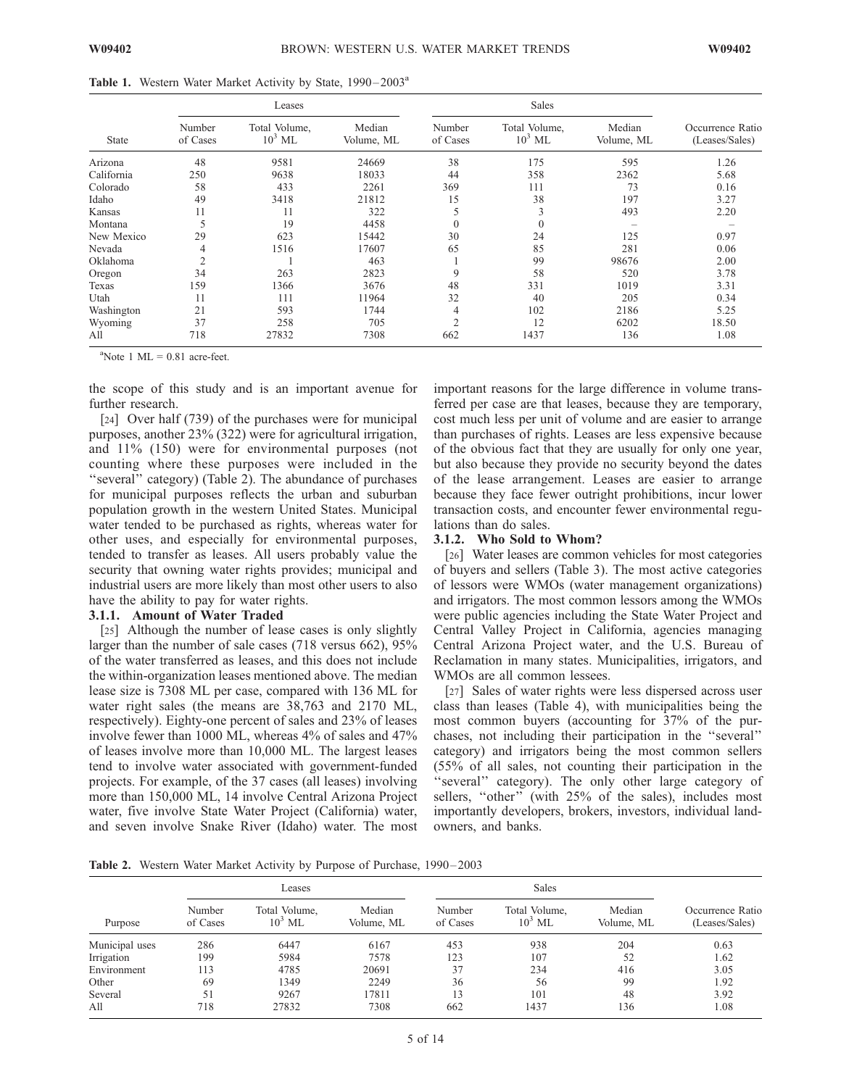|  |  |  |  |  |  |  | Table 1. Western Water Market Activity by State, 1990-2003 <sup>a</sup> |
|--|--|--|--|--|--|--|-------------------------------------------------------------------------|
|--|--|--|--|--|--|--|-------------------------------------------------------------------------|

|              |                    | Leases                     |                      |                    |                            |                      |                                    |
|--------------|--------------------|----------------------------|----------------------|--------------------|----------------------------|----------------------|------------------------------------|
| <b>State</b> | Number<br>of Cases | Total Volume,<br>$10^3$ ML | Median<br>Volume, ML | Number<br>of Cases | Total Volume,<br>$10^3$ ML | Median<br>Volume, ML | Occurrence Ratio<br>(Leases/Sales) |
| Arizona      | 48                 | 9581                       | 24669                | 38                 | 175                        | 595                  | 1.26                               |
| California   | 250                | 9638                       | 18033                | 44                 | 358                        | 2362                 | 5.68                               |
| Colorado     | 58                 | 433                        | 2261                 | 369                | 111                        | 73                   | 0.16                               |
| Idaho        | 49                 | 3418                       | 21812                | 15                 | 38                         | 197                  | 3.27                               |
| Kansas       | 11                 | 11                         | 322                  | 5                  | 3                          | 493                  | 2.20                               |
| Montana      | 5                  | 19                         | 4458                 | $\Omega$           | $\mathbf{0}$               |                      |                                    |
| New Mexico   | 29                 | 623                        | 15442                | 30                 | 24                         | 125                  | 0.97                               |
| Nevada       | 4                  | 1516                       | 17607                | 65                 | 85                         | 281                  | 0.06                               |
| Oklahoma     | $\overline{2}$     |                            | 463                  |                    | 99                         | 98676                | 2.00                               |
| Oregon       | 34                 | 263                        | 2823                 | 9                  | 58                         | 520                  | 3.78                               |
| Texas        | 159                | 1366                       | 3676                 | 48                 | 331                        | 1019                 | 3.31                               |
| Utah         | 11                 | 111                        | 11964                | 32                 | 40                         | 205                  | 0.34                               |
| Washington   | 21                 | 593                        | 1744                 | 4                  | 102                        | 2186                 | 5.25                               |
| Wyoming      | 37                 | 258                        | 705                  | $\overline{2}$     | 12                         | 6202                 | 18.50                              |
| All          | 718                | 27832                      | 7308                 | 662                | 1437                       | 136                  | 1.08                               |

 $a^2$ Note 1 ML = 0.81 acre-feet.

the scope of this study and is an important avenue for further research.

[24] Over half (739) of the purchases were for municipal purposes, another 23% (322) were for agricultural irrigation, and 11% (150) were for environmental purposes (not counting where these purposes were included in the "several" category) (Table 2). The abundance of purchases for municipal purposes reflects the urban and suburban population growth in the western United States. Municipal water tended to be purchased as rights, whereas water for other uses, and especially for environmental purposes, tended to transfer as leases. All users probably value the security that owning water rights provides; municipal and industrial users are more likely than most other users to also have the ability to pay for water rights.

## 3.1.1. Amount of Water Traded

[25] Although the number of lease cases is only slightly larger than the number of sale cases (718 versus 662), 95% of the water transferred as leases, and this does not include the within-organization leases mentioned above. The median lease size is 7308 ML per case, compared with 136 ML for water right sales (the means are 38,763 and 2170 ML, respectively). Eighty-one percent of sales and 23% of leases involve fewer than 1000 ML, whereas 4% of sales and 47% of leases involve more than 10,000 ML. The largest leases tend to involve water associated with government-funded projects. For example, of the 37 cases (all leases) involving more than 150,000 ML, 14 involve Central Arizona Project water, five involve State Water Project (California) water, and seven involve Snake River (Idaho) water. The most

important reasons for the large difference in volume transferred per case are that leases, because they are temporary, cost much less per unit of volume and are easier to arrange than purchases of rights. Leases are less expensive because of the obvious fact that they are usually for only one year, but also because they provide no security beyond the dates of the lease arrangement. Leases are easier to arrange because they face fewer outright prohibitions, incur lower transaction costs, and encounter fewer environmental regulations than do sales.

#### 3.1.2. Who Sold to Whom?

[26] Water leases are common vehicles for most categories of buyers and sellers (Table 3). The most active categories of lessors were WMOs (water management organizations) and irrigators. The most common lessors among the WMOs were public agencies including the State Water Project and Central Valley Project in California, agencies managing Central Arizona Project water, and the U.S. Bureau of Reclamation in many states. Municipalities, irrigators, and WMOs are all common lessees.

[27] Sales of water rights were less dispersed across user class than leases (Table 4), with municipalities being the most common buyers (accounting for 37% of the purchases, not including their participation in the ''several'' category) and irrigators being the most common sellers (55% of all sales, not counting their participation in the 'several'' category). The only other large category of sellers, "other" (with 25% of the sales), includes most importantly developers, brokers, investors, individual landowners, and banks.

Table 2. Western Water Market Activity by Purpose of Purchase, 1990 – 2003

|                |                    | Leases                     |                      |                    |                            |                      |                                    |
|----------------|--------------------|----------------------------|----------------------|--------------------|----------------------------|----------------------|------------------------------------|
| Purpose        | Number<br>of Cases | Total Volume,<br>$10^3$ ML | Median<br>Volume, ML | Number<br>of Cases | Total Volume,<br>$10^3$ ML | Median<br>Volume, ML | Occurrence Ratio<br>(Leases/Sales) |
| Municipal uses | 286                | 6447                       | 6167                 | 453                | 938                        | 204                  | 0.63                               |
| Irrigation     | 199                | 5984                       | 7578                 | 123                | 107                        | 52                   | 1.62                               |
| Environment    | 113                | 4785                       | 20691                | 37                 | 234                        | 416                  | 3.05                               |
| Other          | 69                 | 1349                       | 2249                 | 36                 | 56                         | 99                   | 1.92                               |
| Several        | 51                 | 9267                       | 17811                | 13                 | 101                        | 48                   | 3.92                               |
| All            | 718                | 27832                      | 7308                 | 662                | 1437                       | 136                  | 1.08                               |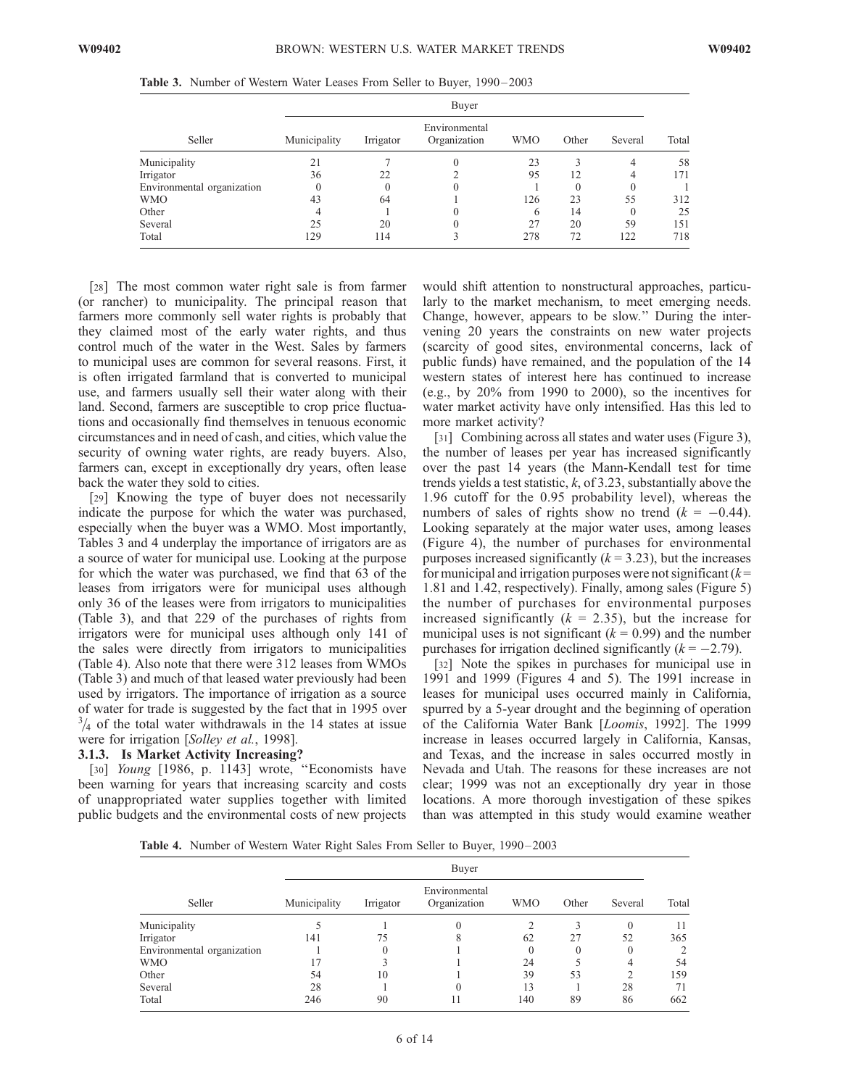|  |  |  |  |  |  |  |  |  |  | Table 3. Number of Western Water Leases From Seller to Buyer, 1990–2003 |  |
|--|--|--|--|--|--|--|--|--|--|-------------------------------------------------------------------------|--|
|--|--|--|--|--|--|--|--|--|--|-------------------------------------------------------------------------|--|

|                            | Buyer        |           |                               |                |          |         |       |  |  |
|----------------------------|--------------|-----------|-------------------------------|----------------|----------|---------|-------|--|--|
| Seller                     | Municipality | Irrigator | Environmental<br>Organization | <b>WMO</b>     | Other    | Several | Total |  |  |
| Municipality               | 21           |           |                               | 23             |          | 4       | 58    |  |  |
| Irrigator                  | 36           | 22        |                               | 95             | 12       | 4       | 171   |  |  |
| Environmental organization | $\theta$     | $\Omega$  |                               |                | $\theta$ |         |       |  |  |
| WMO                        | 43           | 64        |                               | 126            | 23       | 55      | 312   |  |  |
| Other                      |              |           |                               | <sub>(b)</sub> | 14       |         | 25    |  |  |
| Several                    | 25           | 20        |                               | 27             | 20       | 59      | 151   |  |  |
| Total                      | 129          | 114       |                               | 278            | 72       | 122     | 718   |  |  |

[28] The most common water right sale is from farmer (or rancher) to municipality. The principal reason that farmers more commonly sell water rights is probably that they claimed most of the early water rights, and thus control much of the water in the West. Sales by farmers to municipal uses are common for several reasons. First, it is often irrigated farmland that is converted to municipal use, and farmers usually sell their water along with their land. Second, farmers are susceptible to crop price fluctuations and occasionally find themselves in tenuous economic circumstances and in need of cash, and cities, which value the security of owning water rights, are ready buyers. Also, farmers can, except in exceptionally dry years, often lease back the water they sold to cities.

[29] Knowing the type of buyer does not necessarily indicate the purpose for which the water was purchased, especially when the buyer was a WMO. Most importantly, Tables 3 and 4 underplay the importance of irrigators are as a source of water for municipal use. Looking at the purpose for which the water was purchased, we find that 63 of the leases from irrigators were for municipal uses although only 36 of the leases were from irrigators to municipalities (Table 3), and that 229 of the purchases of rights from irrigators were for municipal uses although only 141 of the sales were directly from irrigators to municipalities (Table 4). Also note that there were 312 leases from WMOs (Table 3) and much of that leased water previously had been used by irrigators. The importance of irrigation as a source of water for trade is suggested by the fact that in 1995 over  $3/4$  of the total water withdrawals in the 14 states at issue were for irrigation [Solley et al., 1998].

## 3.1.3. Is Market Activity Increasing?

[30] *Young* [1986, p. 1143] wrote, "Economists have been warning for years that increasing scarcity and costs of unappropriated water supplies together with limited public budgets and the environmental costs of new projects

would shift attention to nonstructural approaches, particularly to the market mechanism, to meet emerging needs. Change, however, appears to be slow.'' During the intervening 20 years the constraints on new water projects (scarcity of good sites, environmental concerns, lack of public funds) have remained, and the population of the 14 western states of interest here has continued to increase (e.g., by 20% from 1990 to 2000), so the incentives for water market activity have only intensified. Has this led to more market activity?

[31] Combining across all states and water uses (Figure 3), the number of leases per year has increased significantly over the past 14 years (the Mann-Kendall test for time trends yields a test statistic,  $k$ , of 3.23, substantially above the 1.96 cutoff for the 0.95 probability level), whereas the numbers of sales of rights show no trend  $(k = -0.44)$ . Looking separately at the major water uses, among leases (Figure 4), the number of purchases for environmental purposes increased significantly  $(k = 3.23)$ , but the increases for municipal and irrigation purposes were not significant  $(k =$ 1.81 and 1.42, respectively). Finally, among sales (Figure 5) the number of purchases for environmental purposes increased significantly ( $k = 2.35$ ), but the increase for municipal uses is not significant  $(k = 0.99)$  and the number purchases for irrigation declined significantly  $(k = -2.79)$ .

[32] Note the spikes in purchases for municipal use in 1991 and 1999 (Figures 4 and 5). The 1991 increase in leases for municipal uses occurred mainly in California, spurred by a 5-year drought and the beginning of operation of the California Water Bank [Loomis, 1992]. The 1999 increase in leases occurred largely in California, Kansas, and Texas, and the increase in sales occurred mostly in Nevada and Utah. The reasons for these increases are not clear; 1999 was not an exceptionally dry year in those locations. A more thorough investigation of these spikes than was attempted in this study would examine weather

Table 4. Number of Western Water Right Sales From Seller to Buyer, 1990-2003

|                            |              | Buyer     |                               |            |       |            |       |  |  |  |
|----------------------------|--------------|-----------|-------------------------------|------------|-------|------------|-------|--|--|--|
| Seller                     | Municipality | Irrigator | Environmental<br>Organization | <b>WMO</b> | Other | Several    | Total |  |  |  |
| Municipality               |              |           | $\theta$                      |            |       | $\theta$   | 11    |  |  |  |
| Irrigator                  | 141          | 75        | 8                             | 62         | 27    | 52         | 365   |  |  |  |
| Environmental organization |              |           |                               |            |       | $\theta$   |       |  |  |  |
| <b>WMO</b>                 | 7ء           |           |                               | 24         |       | 4          | 54    |  |  |  |
| Other                      | 54           | 10        |                               | 39         | 53    | $\bigcirc$ | 159   |  |  |  |
| Several                    | 28           |           | $\Omega$                      | 13         |       | 28         | 71    |  |  |  |
| Total                      | 246          | 90        |                               | 140        | 89    | 86         | 662   |  |  |  |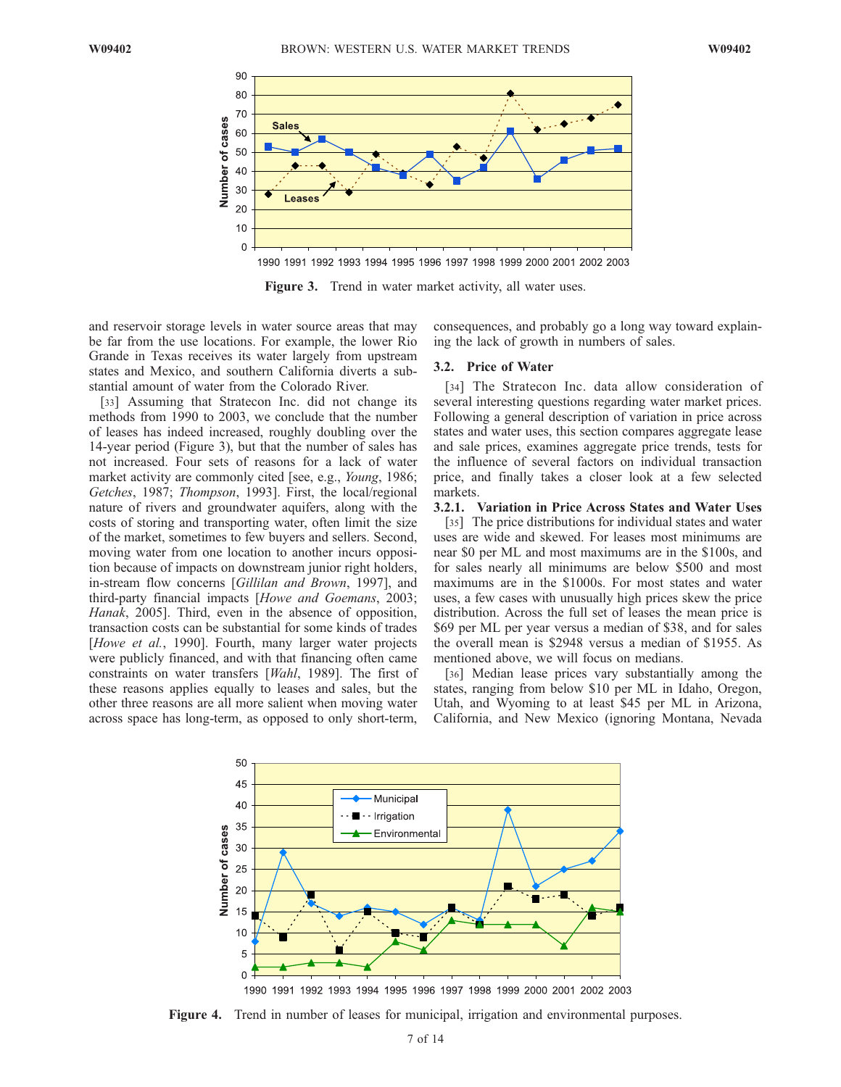

Figure 3. Trend in water market activity, all water uses.

and reservoir storage levels in water source areas that may be far from the use locations. For example, the lower Rio Grande in Texas receives its water largely from upstream states and Mexico, and southern California diverts a substantial amount of water from the Colorado River.

[33] Assuming that Stratecon Inc. did not change its methods from 1990 to 2003, we conclude that the number of leases has indeed increased, roughly doubling over the 14-year period (Figure 3), but that the number of sales has not increased. Four sets of reasons for a lack of water market activity are commonly cited [see, e.g., *Young*, 1986; Getches, 1987; Thompson, 1993]. First, the local/regional nature of rivers and groundwater aquifers, along with the costs of storing and transporting water, often limit the size of the market, sometimes to few buyers and sellers. Second, moving water from one location to another incurs opposition because of impacts on downstream junior right holders, in-stream flow concerns [Gillilan and Brown, 1997], and third-party financial impacts [Howe and Goemans, 2003; Hanak, 2005]. Third, even in the absence of opposition, transaction costs can be substantial for some kinds of trades [Howe et al., 1990]. Fourth, many larger water projects were publicly financed, and with that financing often came constraints on water transfers [Wahl, 1989]. The first of these reasons applies equally to leases and sales, but the other three reasons are all more salient when moving water across space has long-term, as opposed to only short-term,

consequences, and probably go a long way toward explaining the lack of growth in numbers of sales.

#### 3.2. Price of Water

[34] The Stratecon Inc. data allow consideration of several interesting questions regarding water market prices. Following a general description of variation in price across states and water uses, this section compares aggregate lease and sale prices, examines aggregate price trends, tests for the influence of several factors on individual transaction price, and finally takes a closer look at a few selected markets.

#### 3.2.1. Variation in Price Across States and Water Uses

[35] The price distributions for individual states and water uses are wide and skewed. For leases most minimums are near \$0 per ML and most maximums are in the \$100s, and for sales nearly all minimums are below \$500 and most maximums are in the \$1000s. For most states and water uses, a few cases with unusually high prices skew the price distribution. Across the full set of leases the mean price is \$69 per ML per year versus a median of \$38, and for sales the overall mean is \$2948 versus a median of \$1955. As mentioned above, we will focus on medians.

[36] Median lease prices vary substantially among the states, ranging from below \$10 per ML in Idaho, Oregon, Utah, and Wyoming to at least \$45 per ML in Arizona, California, and New Mexico (ignoring Montana, Nevada



1990 1991 1992 1993 1994 1995 1996 1997 1998 1999 2000 2001 2002 2003

Figure 4. Trend in number of leases for municipal, irrigation and environmental purposes.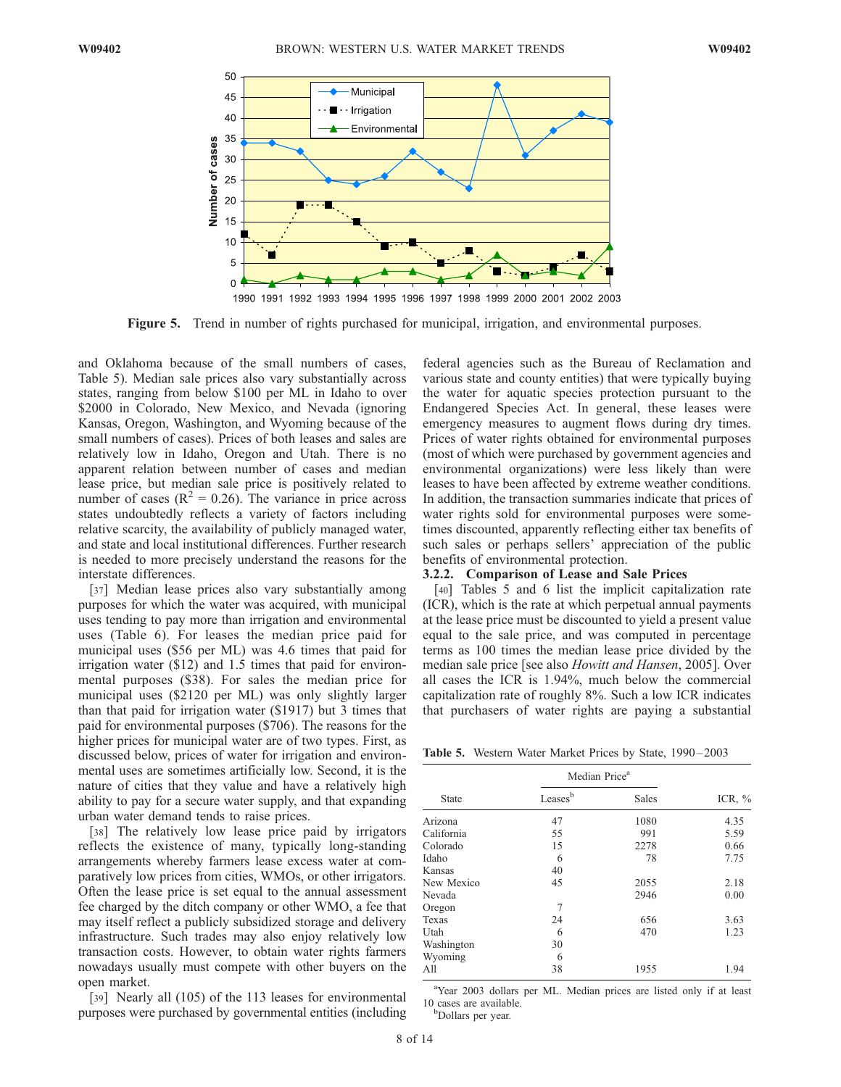

Figure 5. Trend in number of rights purchased for municipal, irrigation, and environmental purposes.

and Oklahoma because of the small numbers of cases, Table 5). Median sale prices also vary substantially across states, ranging from below \$100 per ML in Idaho to over \$2000 in Colorado, New Mexico, and Nevada (ignoring Kansas, Oregon, Washington, and Wyoming because of the small numbers of cases). Prices of both leases and sales are relatively low in Idaho, Oregon and Utah. There is no apparent relation between number of cases and median lease price, but median sale price is positively related to number of cases ( $R^2 = 0.26$ ). The variance in price across states undoubtedly reflects a variety of factors including relative scarcity, the availability of publicly managed water, and state and local institutional differences. Further research is needed to more precisely understand the reasons for the interstate differences.

[37] Median lease prices also vary substantially among purposes for which the water was acquired, with municipal uses tending to pay more than irrigation and environmental uses (Table 6). For leases the median price paid for municipal uses (\$56 per ML) was 4.6 times that paid for irrigation water (\$12) and 1.5 times that paid for environmental purposes (\$38). For sales the median price for municipal uses (\$2120 per ML) was only slightly larger than that paid for irrigation water (\$1917) but 3 times that paid for environmental purposes (\$706). The reasons for the higher prices for municipal water are of two types. First, as discussed below, prices of water for irrigation and environmental uses are sometimes artificially low. Second, it is the nature of cities that they value and have a relatively high ability to pay for a secure water supply, and that expanding urban water demand tends to raise prices.

[38] The relatively low lease price paid by irrigators reflects the existence of many, typically long-standing arrangements whereby farmers lease excess water at comparatively low prices from cities, WMOs, or other irrigators. Often the lease price is set equal to the annual assessment fee charged by the ditch company or other WMO, a fee that may itself reflect a publicly subsidized storage and delivery infrastructure. Such trades may also enjoy relatively low transaction costs. However, to obtain water rights farmers nowadays usually must compete with other buyers on the open market.

[39] Nearly all (105) of the 113 leases for environmental purposes were purchased by governmental entities (including

federal agencies such as the Bureau of Reclamation and various state and county entities) that were typically buying the water for aquatic species protection pursuant to the Endangered Species Act. In general, these leases were emergency measures to augment flows during dry times. Prices of water rights obtained for environmental purposes (most of which were purchased by government agencies and environmental organizations) were less likely than were leases to have been affected by extreme weather conditions. In addition, the transaction summaries indicate that prices of water rights sold for environmental purposes were sometimes discounted, apparently reflecting either tax benefits of such sales or perhaps sellers' appreciation of the public benefits of environmental protection.

## 3.2.2. Comparison of Lease and Sale Prices

[40] Tables 5 and 6 list the implicit capitalization rate (ICR), which is the rate at which perpetual annual payments at the lease price must be discounted to yield a present value equal to the sale price, and was computed in percentage terms as 100 times the median lease price divided by the median sale price [see also *Howitt and Hansen*, 2005]. Over all cases the ICR is 1.94%, much below the commercial capitalization rate of roughly 8%. Such a low ICR indicates that purchasers of water rights are paying a substantial

Table 5. Western Water Market Prices by State, 1990 – 2003

|              | Median Price <sup>a</sup> |              |           |
|--------------|---------------------------|--------------|-----------|
| <b>State</b> | Leasesb                   | <b>Sales</b> | ICR, $\%$ |
| Arizona      | 47                        | 1080         | 4.35      |
| California   | 55                        | 991          | 5.59      |
| Colorado     | 15                        | 2278         | 0.66      |
| Idaho        | 6                         | 78           | 7.75      |
| Kansas       | 40                        |              |           |
| New Mexico   | 45                        | 2055         | 2.18      |
| Nevada       |                           | 2946         | 0.00      |
| Oregon       | 7                         |              |           |
| Texas        | 24                        | 656          | 3.63      |
| Utah         | 6                         | 470          | 1.23      |
| Washington   | 30                        |              |           |
| Wyoming      | 6                         |              |           |
| All          | 38                        | 1955         | 1.94      |
|              |                           |              |           |

<sup>a</sup>Year 2003 dollars per ML. Median prices are listed only if at least 10 cases are available. Dollars per year.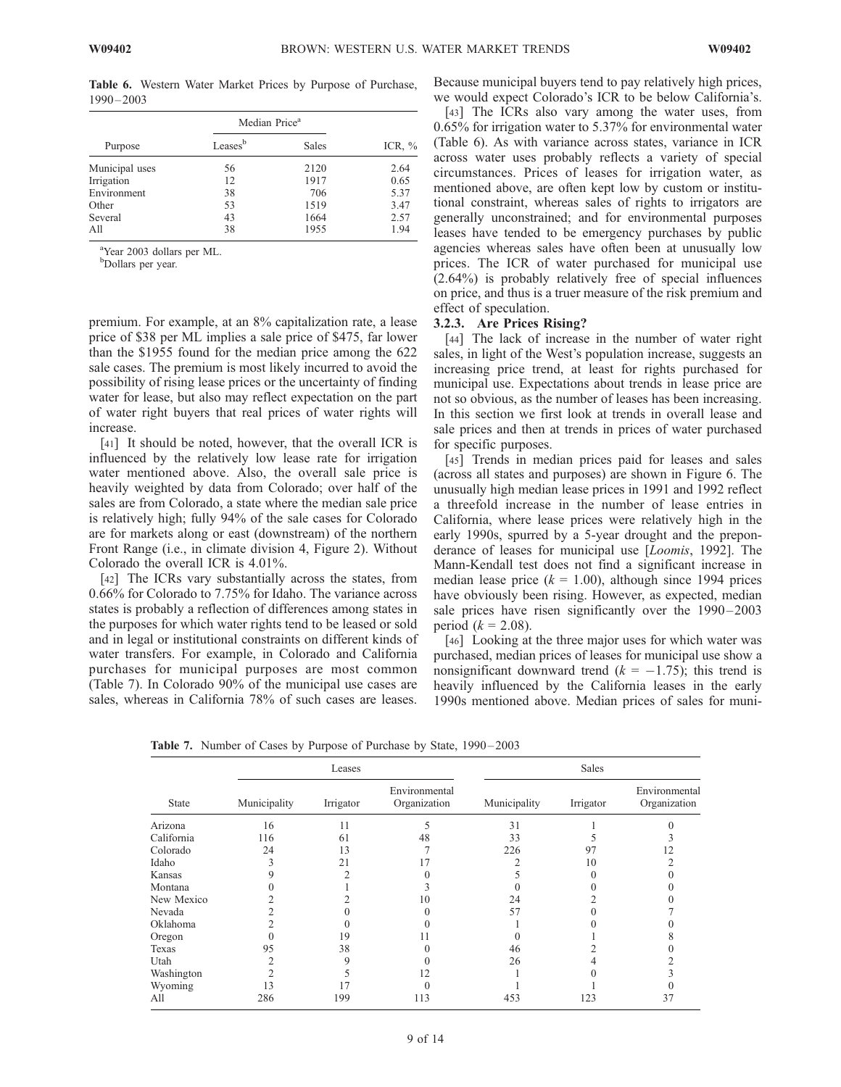Purpose Median Price<sup>a</sup> Leases<sup>b</sup> Sales ICR, % Municipal uses  $\begin{array}{ccc} 56 & 2120 & 2.64 \\ 111 & 1917 & 0.65 \end{array}$ Irrigation 12 1917 0.65 Environment 38 706 5.37 Other 53 1519 3.47 Several 43 1664 2.57 All 38 1955 1.94

Table 6. Western Water Market Prices by Purpose of Purchase, 1990 – 2003

<sup>a</sup>Year 2003 dollars per ML.

<sup>b</sup>Dollars per year.

premium. For example, at an 8% capitalization rate, a lease price of \$38 per ML implies a sale price of \$475, far lower than the \$1955 found for the median price among the 622 sale cases. The premium is most likely incurred to avoid the possibility of rising lease prices or the uncertainty of finding water for lease, but also may reflect expectation on the part of water right buyers that real prices of water rights will increase.

[41] It should be noted, however, that the overall ICR is influenced by the relatively low lease rate for irrigation water mentioned above. Also, the overall sale price is heavily weighted by data from Colorado; over half of the sales are from Colorado, a state where the median sale price is relatively high; fully 94% of the sale cases for Colorado are for markets along or east (downstream) of the northern Front Range (i.e., in climate division 4, Figure 2). Without Colorado the overall ICR is 4.01%.

[42] The ICRs vary substantially across the states, from 0.66% for Colorado to 7.75% for Idaho. The variance across states is probably a reflection of differences among states in the purposes for which water rights tend to be leased or sold and in legal or institutional constraints on different kinds of water transfers. For example, in Colorado and California purchases for municipal purposes are most common (Table 7). In Colorado 90% of the municipal use cases are sales, whereas in California 78% of such cases are leases.

Because municipal buyers tend to pay relatively high prices, we would expect Colorado's ICR to be below California's.

[43] The ICRs also vary among the water uses, from 0.65% for irrigation water to 5.37% for environmental water (Table 6). As with variance across states, variance in ICR across water uses probably reflects a variety of special circumstances. Prices of leases for irrigation water, as mentioned above, are often kept low by custom or institutional constraint, whereas sales of rights to irrigators are generally unconstrained; and for environmental purposes leases have tended to be emergency purchases by public agencies whereas sales have often been at unusually low prices. The ICR of water purchased for municipal use (2.64%) is probably relatively free of special influences on price, and thus is a truer measure of the risk premium and effect of speculation.

## 3.2.3. Are Prices Rising?

[44] The lack of increase in the number of water right sales, in light of the West's population increase, suggests an increasing price trend, at least for rights purchased for municipal use. Expectations about trends in lease price are not so obvious, as the number of leases has been increasing. In this section we first look at trends in overall lease and sale prices and then at trends in prices of water purchased for specific purposes.

[45] Trends in median prices paid for leases and sales (across all states and purposes) are shown in Figure 6. The unusually high median lease prices in 1991 and 1992 reflect a threefold increase in the number of lease entries in California, where lease prices were relatively high in the early 1990s, spurred by a 5-year drought and the preponderance of leases for municipal use [Loomis, 1992]. The Mann-Kendall test does not find a significant increase in median lease price ( $k = 1.00$ ), although since 1994 prices have obviously been rising. However, as expected, median sale prices have risen significantly over the 1990-2003 period  $(k = 2.08)$ .

[46] Looking at the three major uses for which water was purchased, median prices of leases for municipal use show a nonsignificant downward trend  $(k = -1.75)$ ; this trend is heavily influenced by the California leases in the early 1990s mentioned above. Median prices of sales for muni-

Table 7. Number of Cases by Purpose of Purchase by State, 1990-2003

|              |              | Leases    |                               | Sales        |           |                               |  |  |
|--------------|--------------|-----------|-------------------------------|--------------|-----------|-------------------------------|--|--|
| <b>State</b> | Municipality | Irrigator | Environmental<br>Organization | Municipality | Irrigator | Environmental<br>Organization |  |  |
| Arizona      | 16           | 11        |                               | 31           |           |                               |  |  |
| California   | 116          | 61        | 48                            | 33           |           |                               |  |  |
| Colorado     | 24           | 13        |                               | 226          | 97        |                               |  |  |
| Idaho        | 3            | 21        |                               |              | 10        |                               |  |  |
| Kansas       |              |           |                               |              |           |                               |  |  |
| Montana      |              |           |                               |              |           |                               |  |  |
| New Mexico   |              |           | 10                            | 24           |           |                               |  |  |
| Nevada       |              |           |                               | 57           |           |                               |  |  |
| Oklahoma     |              |           |                               |              |           |                               |  |  |
| Oregon       |              | 19        |                               |              |           |                               |  |  |
| Texas        | 95           | 38        |                               | 46           |           |                               |  |  |
| Utah         |              | Q         |                               | 26           |           |                               |  |  |
| Washington   |              |           | 12                            |              |           |                               |  |  |
| Wyoming      | 13           |           |                               |              |           |                               |  |  |
| All          | 286          | 199       | 113                           | 453          | 123       | 37                            |  |  |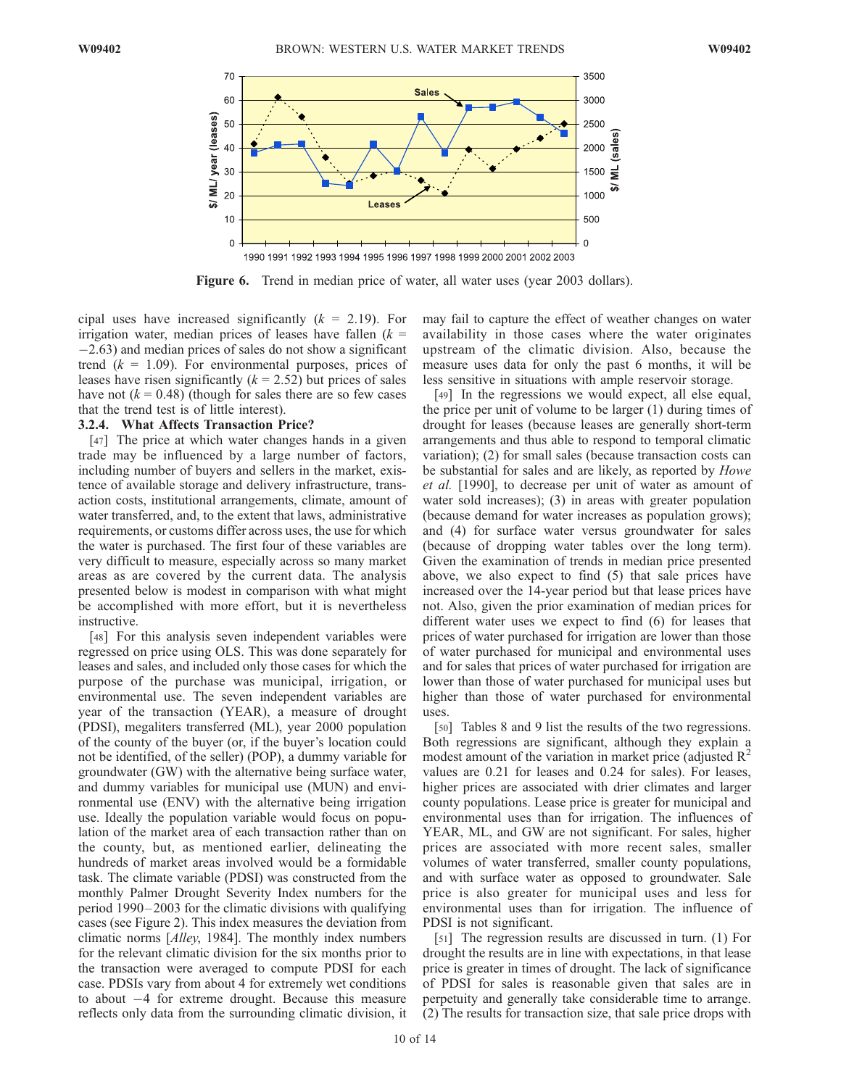

Figure 6. Trend in median price of water, all water uses (year 2003 dollars).

cipal uses have increased significantly  $(k = 2.19)$ . For irrigation water, median prices of leases have fallen  $(k =$  $-2.63$ ) and median prices of sales do not show a significant trend  $(k = 1.09)$ . For environmental purposes, prices of leases have risen significantly  $(k = 2.52)$  but prices of sales have not  $(k = 0.48)$  (though for sales there are so few cases that the trend test is of little interest).

#### 3.2.4. What Affects Transaction Price?

[47] The price at which water changes hands in a given trade may be influenced by a large number of factors, including number of buyers and sellers in the market, existence of available storage and delivery infrastructure, transaction costs, institutional arrangements, climate, amount of water transferred, and, to the extent that laws, administrative requirements, or customs differ across uses, the use for which the water is purchased. The first four of these variables are very difficult to measure, especially across so many market areas as are covered by the current data. The analysis presented below is modest in comparison with what might be accomplished with more effort, but it is nevertheless instructive.

[48] For this analysis seven independent variables were regressed on price using OLS. This was done separately for leases and sales, and included only those cases for which the purpose of the purchase was municipal, irrigation, or environmental use. The seven independent variables are year of the transaction (YEAR), a measure of drought (PDSI), megaliters transferred (ML), year 2000 population of the county of the buyer (or, if the buyer's location could not be identified, of the seller) (POP), a dummy variable for groundwater (GW) with the alternative being surface water, and dummy variables for municipal use (MUN) and environmental use (ENV) with the alternative being irrigation use. Ideally the population variable would focus on population of the market area of each transaction rather than on the county, but, as mentioned earlier, delineating the hundreds of market areas involved would be a formidable task. The climate variable (PDSI) was constructed from the monthly Palmer Drought Severity Index numbers for the period 1990 – 2003 for the climatic divisions with qualifying cases (see Figure 2). This index measures the deviation from climatic norms [Alley, 1984]. The monthly index numbers for the relevant climatic division for the six months prior to the transaction were averaged to compute PDSI for each case. PDSIs vary from about 4 for extremely wet conditions to about  $-4$  for extreme drought. Because this measure reflects only data from the surrounding climatic division, it may fail to capture the effect of weather changes on water availability in those cases where the water originates upstream of the climatic division. Also, because the measure uses data for only the past 6 months, it will be less sensitive in situations with ample reservoir storage.

[49] In the regressions we would expect, all else equal, the price per unit of volume to be larger (1) during times of drought for leases (because leases are generally short-term arrangements and thus able to respond to temporal climatic variation); (2) for small sales (because transaction costs can be substantial for sales and are likely, as reported by *Howe* et al. [1990], to decrease per unit of water as amount of water sold increases); (3) in areas with greater population (because demand for water increases as population grows); and (4) for surface water versus groundwater for sales (because of dropping water tables over the long term). Given the examination of trends in median price presented above, we also expect to find (5) that sale prices have increased over the 14-year period but that lease prices have not. Also, given the prior examination of median prices for different water uses we expect to find (6) for leases that prices of water purchased for irrigation are lower than those of water purchased for municipal and environmental uses and for sales that prices of water purchased for irrigation are lower than those of water purchased for municipal uses but higher than those of water purchased for environmental uses.

[50] Tables 8 and 9 list the results of the two regressions. Both regressions are significant, although they explain a modest amount of the variation in market price (adjusted  $R^2$ ) values are 0.21 for leases and 0.24 for sales). For leases, higher prices are associated with drier climates and larger county populations. Lease price is greater for municipal and environmental uses than for irrigation. The influences of YEAR, ML, and GW are not significant. For sales, higher prices are associated with more recent sales, smaller volumes of water transferred, smaller county populations, and with surface water as opposed to groundwater. Sale price is also greater for municipal uses and less for environmental uses than for irrigation. The influence of PDSI is not significant.

[51] The regression results are discussed in turn. (1) For drought the results are in line with expectations, in that lease price is greater in times of drought. The lack of significance of PDSI for sales is reasonable given that sales are in perpetuity and generally take considerable time to arrange. (2) The results for transaction size, that sale price drops with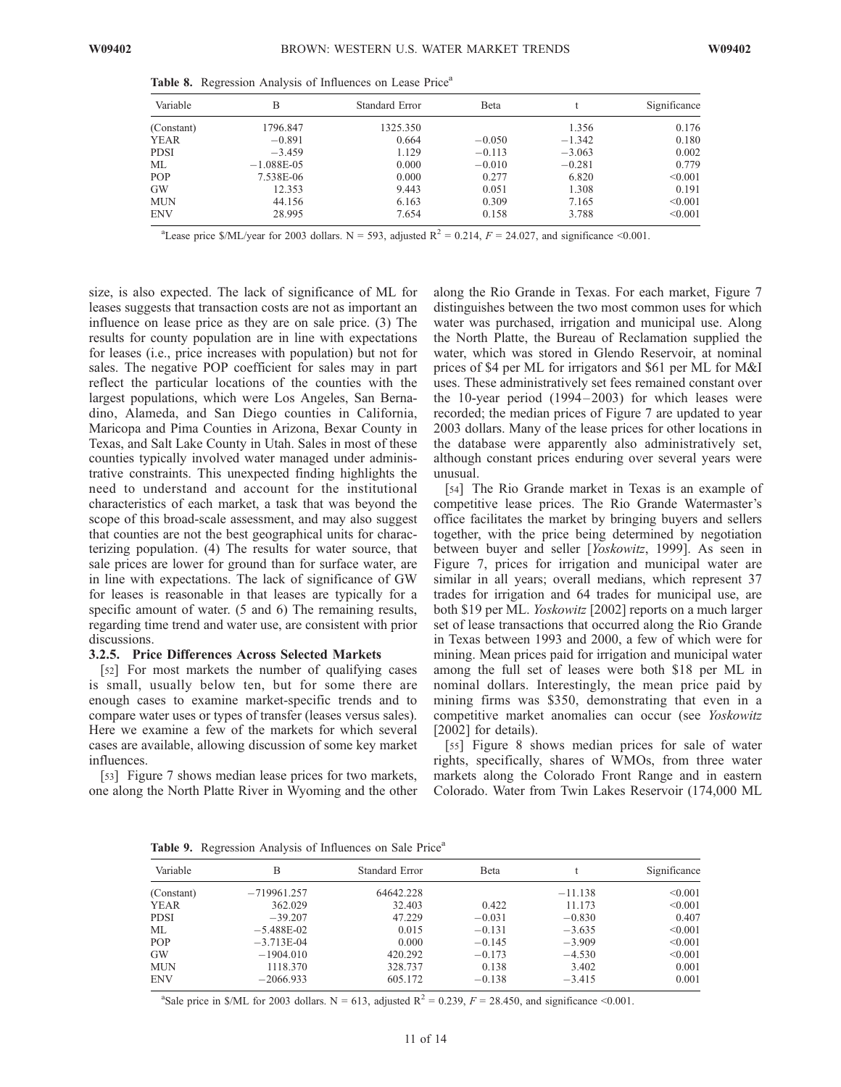| Variable   | B            | Standard Error | <b>B</b> eta |          | Significance |
|------------|--------------|----------------|--------------|----------|--------------|
| (Constant) | 1796.847     | 1325.350       |              | 1.356    | 0.176        |
| YEAR       | $-0.891$     | 0.664          | $-0.050$     | $-1.342$ | 0.180        |
| PDSI       | $-3.459$     | 1.129          | $-0.113$     | $-3.063$ | 0.002        |
| МL         | $-1.088E-05$ | 0.000          | $-0.010$     | $-0.281$ | 0.779        |
| POP        | 7.538E-06    | 0.000          | 0.277        | 6.820    | < 0.001      |
| GW         | 12.353       | 9.443          | 0.051        | 1.308    | 0.191        |
| MUN        | 44.156       | 6.163          | 0.309        | 7.165    | < 0.001      |
| <b>ENV</b> | 28.995       | 7.654          | 0.158        | 3.788    | < 0.001      |

Table 8. Regression Analysis of Influences on Lease Price<sup>a</sup>

<sup>a</sup>Lease price \$/ML/year for 2003 dollars. N = 593, adjusted R<sup>2</sup> = 0.214,  $F = 24.027$ , and significance <0.001.

size, is also expected. The lack of significance of ML for leases suggests that transaction costs are not as important an influence on lease price as they are on sale price. (3) The results for county population are in line with expectations for leases (i.e., price increases with population) but not for sales. The negative POP coefficient for sales may in part reflect the particular locations of the counties with the largest populations, which were Los Angeles, San Bernadino, Alameda, and San Diego counties in California, Maricopa and Pima Counties in Arizona, Bexar County in Texas, and Salt Lake County in Utah. Sales in most of these counties typically involved water managed under administrative constraints. This unexpected finding highlights the need to understand and account for the institutional characteristics of each market, a task that was beyond the scope of this broad-scale assessment, and may also suggest that counties are not the best geographical units for characterizing population. (4) The results for water source, that sale prices are lower for ground than for surface water, are in line with expectations. The lack of significance of GW for leases is reasonable in that leases are typically for a specific amount of water. (5 and 6) The remaining results, regarding time trend and water use, are consistent with prior discussions.

## 3.2.5. Price Differences Across Selected Markets

[52] For most markets the number of qualifying cases is small, usually below ten, but for some there are enough cases to examine market-specific trends and to compare water uses or types of transfer (leases versus sales). Here we examine a few of the markets for which several cases are available, allowing discussion of some key market influences.

[53] Figure 7 shows median lease prices for two markets, one along the North Platte River in Wyoming and the other along the Rio Grande in Texas. For each market, Figure 7 distinguishes between the two most common uses for which water was purchased, irrigation and municipal use. Along the North Platte, the Bureau of Reclamation supplied the water, which was stored in Glendo Reservoir, at nominal prices of \$4 per ML for irrigators and \$61 per ML for M&I uses. These administratively set fees remained constant over the 10-year period (1994–2003) for which leases were recorded; the median prices of Figure 7 are updated to year 2003 dollars. Many of the lease prices for other locations in the database were apparently also administratively set, although constant prices enduring over several years were unusual.

[54] The Rio Grande market in Texas is an example of competitive lease prices. The Rio Grande Watermaster's office facilitates the market by bringing buyers and sellers together, with the price being determined by negotiation between buyer and seller [Yoskowitz, 1999]. As seen in Figure 7, prices for irrigation and municipal water are similar in all years; overall medians, which represent 37 trades for irrigation and 64 trades for municipal use, are both \$19 per ML. Yoskowitz [2002] reports on a much larger set of lease transactions that occurred along the Rio Grande in Texas between 1993 and 2000, a few of which were for mining. Mean prices paid for irrigation and municipal water among the full set of leases were both \$18 per ML in nominal dollars. Interestingly, the mean price paid by mining firms was \$350, demonstrating that even in a competitive market anomalies can occur (see Yoskowitz [2002] for details).

[55] Figure 8 shows median prices for sale of water rights, specifically, shares of WMOs, from three water markets along the Colorado Front Range and in eastern Colorado. Water from Twin Lakes Reservoir (174,000 ML

Table 9. Regression Analysis of Influences on Sale Price<sup>a</sup>

| $\tilde{}$  |               |                |              |           |              |
|-------------|---------------|----------------|--------------|-----------|--------------|
| Variable    | В             | Standard Error | <b>B</b> eta |           | Significance |
| (Constant)  | $-719961.257$ | 64642.228      |              | $-11.138$ | < 0.001      |
| YEAR        | 362.029       | 32.403         | 0.422        | 11.173    | < 0.001      |
| <b>PDSI</b> | $-39.207$     | 47.229         | $-0.031$     | $-0.830$  | 0.407        |
| ML          | $-5.488E-02$  | 0.015          | $-0.131$     | $-3.635$  | < 0.001      |
| POP         | $-3.713E-04$  | 0.000          | $-0.145$     | $-3.909$  | < 0.001      |
| <b>GW</b>   | $-1904.010$   | 420.292        | $-0.173$     | $-4.530$  | < 0.001      |
| <b>MUN</b>  | 1118.370      | 328.737        | 0.138        | 3.402     | 0.001        |
| <b>ENV</b>  | $-2066.933$   | 605.172        | $-0.138$     | $-3.415$  | 0.001        |

<sup>a</sup>Sale price in \$/ML for 2003 dollars. N = 613, adjusted  $R^2 = 0.239$ ,  $F = 28.450$ , and significance <0.001.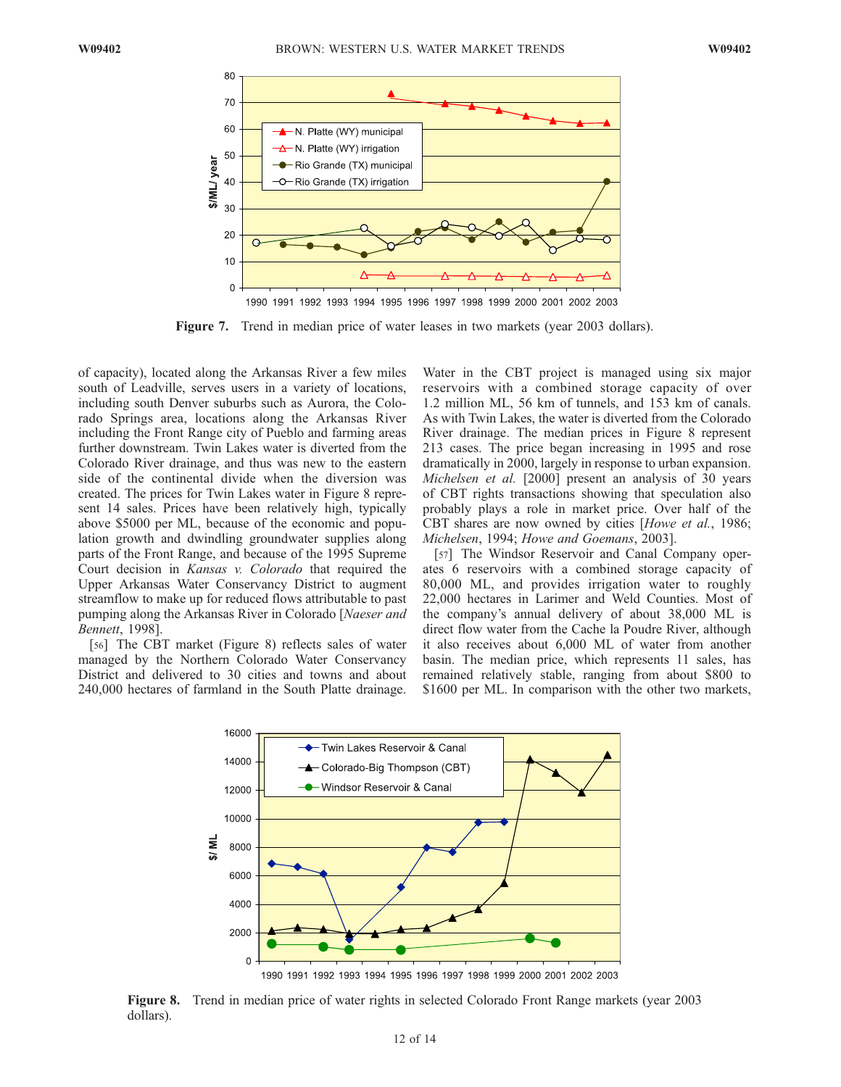

Figure 7. Trend in median price of water leases in two markets (year 2003 dollars).

of capacity), located along the Arkansas River a few miles south of Leadville, serves users in a variety of locations, including south Denver suburbs such as Aurora, the Colorado Springs area, locations along the Arkansas River including the Front Range city of Pueblo and farming areas further downstream. Twin Lakes water is diverted from the Colorado River drainage, and thus was new to the eastern side of the continental divide when the diversion was created. The prices for Twin Lakes water in Figure 8 represent 14 sales. Prices have been relatively high, typically above \$5000 per ML, because of the economic and population growth and dwindling groundwater supplies along parts of the Front Range, and because of the 1995 Supreme Court decision in Kansas v. Colorado that required the Upper Arkansas Water Conservancy District to augment streamflow to make up for reduced flows attributable to past pumping along the Arkansas River in Colorado [Naeser and Bennett, 1998].

[56] The CBT market (Figure 8) reflects sales of water managed by the Northern Colorado Water Conservancy District and delivered to 30 cities and towns and about 240,000 hectares of farmland in the South Platte drainage.

Water in the CBT project is managed using six major reservoirs with a combined storage capacity of over 1.2 million ML, 56 km of tunnels, and 153 km of canals. As with Twin Lakes, the water is diverted from the Colorado River drainage. The median prices in Figure 8 represent 213 cases. The price began increasing in 1995 and rose dramatically in 2000, largely in response to urban expansion. Michelsen et al. [2000] present an analysis of 30 years of CBT rights transactions showing that speculation also probably plays a role in market price. Over half of the CBT shares are now owned by cities [Howe et al., 1986; Michelsen, 1994; Howe and Goemans, 2003].

[57] The Windsor Reservoir and Canal Company operates 6 reservoirs with a combined storage capacity of 80,000 ML, and provides irrigation water to roughly 22,000 hectares in Larimer and Weld Counties. Most of the company's annual delivery of about 38,000 ML is direct flow water from the Cache la Poudre River, although it also receives about 6,000 ML of water from another basin. The median price, which represents 11 sales, has remained relatively stable, ranging from about \$800 to \$1600 per ML. In comparison with the other two markets,



Figure 8. Trend in median price of water rights in selected Colorado Front Range markets (year 2003 dollars).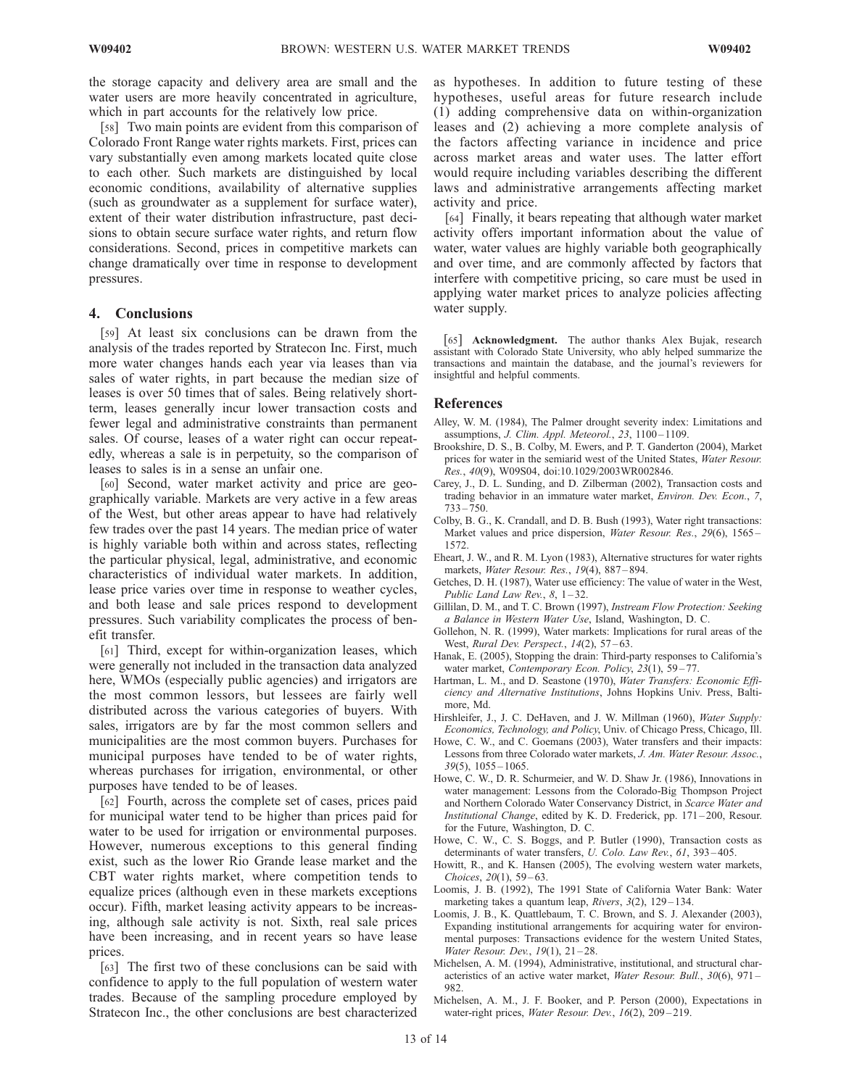the storage capacity and delivery area are small and the water users are more heavily concentrated in agriculture, which in part accounts for the relatively low price.

[58] Two main points are evident from this comparison of Colorado Front Range water rights markets. First, prices can vary substantially even among markets located quite close to each other. Such markets are distinguished by local economic conditions, availability of alternative supplies (such as groundwater as a supplement for surface water), extent of their water distribution infrastructure, past decisions to obtain secure surface water rights, and return flow considerations. Second, prices in competitive markets can change dramatically over time in response to development pressures.

## 4. Conclusions

[59] At least six conclusions can be drawn from the analysis of the trades reported by Stratecon Inc. First, much more water changes hands each year via leases than via sales of water rights, in part because the median size of leases is over 50 times that of sales. Being relatively shortterm, leases generally incur lower transaction costs and fewer legal and administrative constraints than permanent sales. Of course, leases of a water right can occur repeatedly, whereas a sale is in perpetuity, so the comparison of leases to sales is in a sense an unfair one.

[60] Second, water market activity and price are geographically variable. Markets are very active in a few areas of the West, but other areas appear to have had relatively few trades over the past 14 years. The median price of water is highly variable both within and across states, reflecting the particular physical, legal, administrative, and economic characteristics of individual water markets. In addition, lease price varies over time in response to weather cycles, and both lease and sale prices respond to development pressures. Such variability complicates the process of benefit transfer.

[61] Third, except for within-organization leases, which were generally not included in the transaction data analyzed here, WMOs (especially public agencies) and irrigators are the most common lessors, but lessees are fairly well distributed across the various categories of buyers. With sales, irrigators are by far the most common sellers and municipalities are the most common buyers. Purchases for municipal purposes have tended to be of water rights, whereas purchases for irrigation, environmental, or other purposes have tended to be of leases.

[62] Fourth, across the complete set of cases, prices paid for municipal water tend to be higher than prices paid for water to be used for irrigation or environmental purposes. However, numerous exceptions to this general finding exist, such as the lower Rio Grande lease market and the CBT water rights market, where competition tends to equalize prices (although even in these markets exceptions occur). Fifth, market leasing activity appears to be increasing, although sale activity is not. Sixth, real sale prices have been increasing, and in recent years so have lease prices.

[63] The first two of these conclusions can be said with confidence to apply to the full population of western water trades. Because of the sampling procedure employed by Stratecon Inc., the other conclusions are best characterized as hypotheses. In addition to future testing of these hypotheses, useful areas for future research include (1) adding comprehensive data on within-organization leases and (2) achieving a more complete analysis of the factors affecting variance in incidence and price across market areas and water uses. The latter effort would require including variables describing the different laws and administrative arrangements affecting market activity and price.

[64] Finally, it bears repeating that although water market activity offers important information about the value of water, water values are highly variable both geographically and over time, and are commonly affected by factors that interfere with competitive pricing, so care must be used in applying water market prices to analyze policies affecting water supply.

[65] Acknowledgment. The author thanks Alex Bujak, research assistant with Colorado State University, who ably helped summarize the transactions and maintain the database, and the journal's reviewers for insightful and helpful comments.

#### References

- Alley, W. M. (1984), The Palmer drought severity index: Limitations and assumptions, *J. Clim. Appl. Meteorol.*, 23, 1100-1109.
- Brookshire, D. S., B. Colby, M. Ewers, and P. T. Ganderton (2004), Market prices for water in the semiarid west of the United States, Water Resour. Res., 40(9), W09S04, doi:10.1029/2003WR002846.
- Carey, J., D. L. Sunding, and D. Zilberman (2002), Transaction costs and trading behavior in an immature water market, Environ. Dev. Econ., 7,  $733 - 750.$
- Colby, B. G., K. Crandall, and D. B. Bush (1993), Water right transactions: Market values and price dispersion, Water Resour. Res., 29(6), 1565– 1572.
- Eheart, J. W., and R. M. Lyon (1983), Alternative structures for water rights markets, Water Resour. Res., 19(4), 887 – 894.
- Getches, D. H. (1987), Water use efficiency: The value of water in the West, Public Land Law Rev.,  $8, 1-32$ .
- Gillilan, D. M., and T. C. Brown (1997), Instream Flow Protection: Seeking a Balance in Western Water Use, Island, Washington, D. C.
- Gollehon, N. R. (1999), Water markets: Implications for rural areas of the West, Rural Dev. Perspect., 14(2), 57-63.
- Hanak, E. (2005), Stopping the drain: Third-party responses to California's water market, Contemporary Econ. Policy, 23(1), 59-77.
- Hartman, L. M., and D. Seastone (1970), Water Transfers: Economic Efficiency and Alternative Institutions, Johns Hopkins Univ. Press, Baltimore, Md.
- Hirshleifer, J., J. C. DeHaven, and J. W. Millman (1960), Water Supply: Economics, Technology, and Policy, Univ. of Chicago Press, Chicago, Ill.
- Howe, C. W., and C. Goemans (2003), Water transfers and their impacts: Lessons from three Colorado water markets, J. Am. Water Resour. Assoc.,  $39(5)$ ,  $1055 - 1065$ .
- Howe, C. W., D. R. Schurmeier, and W. D. Shaw Jr. (1986), Innovations in water management: Lessons from the Colorado-Big Thompson Project and Northern Colorado Water Conservancy District, in Scarce Water and Institutional Change, edited by K. D. Frederick, pp. 171 – 200, Resour. for the Future, Washington, D. C.
- Howe, C. W., C. S. Boggs, and P. Butler (1990), Transaction costs as determinants of water transfers, U. Colo. Law Rev., 61, 393-405.
- Howitt, R., and K. Hansen (2005), The evolving western water markets, Choices, 20(1), 59-63.
- Loomis, J. B. (1992), The 1991 State of California Water Bank: Water marketing takes a quantum leap,  $Rivers$ ,  $3(2)$ ,  $129-134$ .
- Loomis, J. B., K. Quattlebaum, T. C. Brown, and S. J. Alexander (2003), Expanding institutional arrangements for acquiring water for environmental purposes: Transactions evidence for the western United States, Water Resour. Dev., 19(1), 21-28.
- Michelsen, A. M. (1994), Administrative, institutional, and structural characteristics of an active water market, *Water Resour. Bull.*, 30(6), 971– 982.
- Michelsen, A. M., J. F. Booker, and P. Person (2000), Expectations in water-right prices, Water Resour. Dev., 16(2), 209-219.